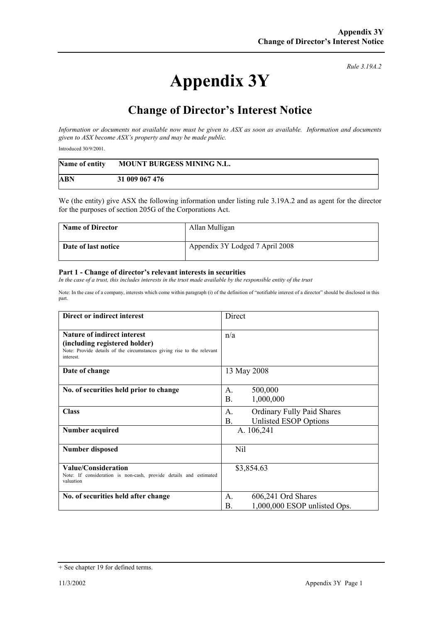## **Appendix 3Y**

*Rule 3.19A.2*

## **Change of Director's Interest Notice**

*Information or documents not available now must be given to ASX as soon as available. Information and documents given to ASX become ASX's property and may be made public.* 

Introduced 30/9/2001.

| Name of entity | MOUNT BURGESS MINING N.L. |
|----------------|---------------------------|
| ABN            | 31 009 067 476            |

We (the entity) give ASX the following information under listing rule 3.19A.2 and as agent for the director for the purposes of section 205G of the Corporations Act.

| <b>Name of Director</b> | Allan Mulligan                  |
|-------------------------|---------------------------------|
| Date of last notice     | Appendix 3Y Lodged 7 April 2008 |

## **Part 1 - Change of director's relevant interests in securities**

In the case of a trust, this includes interests in the trust made available by the responsible entity of the trust

Note: In the case of a company, interests which come within paragraph (i) of the definition of "notifiable interest of a director" should be disclosed in this part.

| Direct or indirect interest                                                                                                                                | Direct                                                                                    |
|------------------------------------------------------------------------------------------------------------------------------------------------------------|-------------------------------------------------------------------------------------------|
| <b>Nature of indirect interest</b><br>(including registered holder)<br>Note: Provide details of the circumstances giving rise to the relevant<br>interest. | n/a                                                                                       |
| Date of change                                                                                                                                             | 13 May 2008                                                                               |
| No. of securities held prior to change                                                                                                                     | 500,000<br>$\mathsf{A}$ .<br>B <sub>1</sub><br>1,000,000                                  |
| <b>Class</b>                                                                                                                                               | <b>Ordinary Fully Paid Shares</b><br>$\mathsf{A}$ .<br><b>B.</b><br>Unlisted ESOP Options |
| Number acquired                                                                                                                                            | A. 106,241                                                                                |
| <b>Number disposed</b>                                                                                                                                     | Nil                                                                                       |
| Value/Consideration<br>Note: If consideration is non-cash, provide details and estimated<br>valuation                                                      | \$3,854.63                                                                                |
| No. of securities held after change                                                                                                                        | 606,241 Ord Shares<br>$\mathsf{A}$ .<br>1,000,000 ESOP unlisted Ops.<br>Β.                |

<sup>+</sup> See chapter 19 for defined terms.